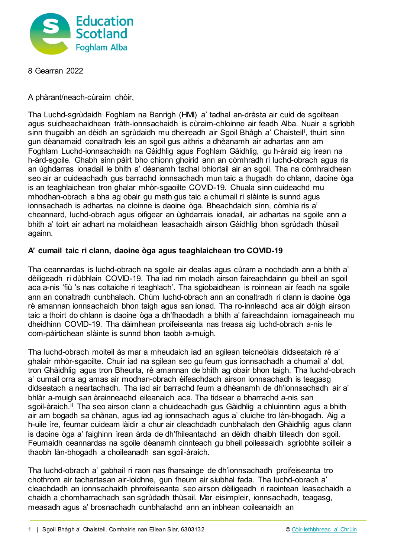

8 Gearran 2022

A phàrant/neach-cùraim chòir,

Tha Luchd-sgrùdaidh Foghlam na Banrigh (HMI) a' tadhal an-dràsta air cuid de sgoiltean agus suidheachaidhean tràth-ionnsachaidh is cùraim-chloinne air feadh Alba. Nuair a sgrìobh sinn thugaibh an dèidh an sgrùdaidh mu dheireadh air Sgoil Bhàgh a' Chaisteil[i](#page-2-0) , thuirt sinn gun dèanamaid conaltradh leis an sgoil gus aithris a dhèanamh air adhartas ann am Foghlam Luchd-ionnsachaidh na Gàidhlig agus Foghlam Gàidhlig, gu h-àraid aig ìrean na h-àrd-sgoile. Ghabh sinn pàirt bho chionn ghoirid ann an còmhradh ri luchd-obrach agus ris an ùghdarras ionadail le bhith a' dèanamh tadhal bhiortail air an sgoil. Tha na còmhraidhean seo air ar cuideachadh gus barrachd ionnsachadh mun taic a thugadh do chlann, daoine òga is an teaghlaichean tron ghalar mhòr-sgaoilte COVID-19. Chuala sinn cuideachd mu mhodhan-obrach a bha ag obair gu math gus taic a chumail ri slàinte is sunnd agus ionnsachadh is adhartas na cloinne is daoine òga. Bheachdaich sinn, còmhla ris a' cheannard, luchd-obrach agus oifigear an ùghdarrais ionadail, air adhartas na sgoile ann a bhith a' toirt air adhart na molaidhean leasachaidh airson Gàidhlig bhon sgrùdadh thùsail againn.

## **A' cumail taic ri clann, daoine òga agus teaghlaichean tro COVID-19**

Tha ceannardas is luchd-obrach na sgoile air dealas agus cùram a nochdadh ann a bhith a' dèiligeadh ri dùbhlain COVID-19. Tha iad rim moladh airson faireachdainn gu bheil an sgoil aca a-nis 'fiù 's nas coltaiche ri teaghlach'. Tha sgiobaidhean is roinnean air feadh na sgoile ann an conaltradh cunbhalach. Chùm luchd-obrach ann an conaltradh ri clann is daoine òga rè amannan ionnsachaidh bhon taigh agus san ionad. Tha ro-innleachd aca air dòigh airson taic a thoirt do chlann is daoine òga a dh'fhaodadh a bhith a' faireachdainn iomagaineach mu dheidhinn COVID-19. Tha dàimhean proifeiseanta nas treasa aig luchd-obrach a-nis le com-pàirtichean slàinte is sunnd bhon taobh a-muigh.

Tha luchd-obrach moiteil às mar a mheudaich iad an sgilean teicneòlais didseataich rè a' ghalair mhòr-sgaoilte. Chuir iad na sgilean seo gu feum gus ionnsachadh a chumail a' dol, tron Ghàidhlig agus tron Bheurla, rè amannan de bhith ag obair bhon taigh. Tha luchd-obrach a' cumail orra ag amas air modhan-obrach èifeachdach airson ionnsachadh is teagasg didseatach a neartachadh. Tha iad air barrachd feum a dhèanamh de dh'ionnsachadh air a' bhlàr a-muigh san àrainneachd eileanaich aca. Tha tidsear a bharrachd a-nis san sgoil-àraich.<sup>[ii](#page-2-1)</sup> Tha seo airson clann a chuideachadh gus Gàidhlig a chluinntinn agus a bhith air am bogadh sa chànan, agus iad ag ionnsachadh agus a' cluiche tro làn-bhogadh. Aig a h-uile ìre, feumar cuideam làidir a chur air cleachdadh cunbhalach den Ghàidhlig agus clann is daoine òga a' faighinn ìrean àrda de dh'fhileantachd an dèidh dhaibh tilleadh don sgoil. Feumaidh ceannardas na sgoile dèanamh cinnteach gu bheil poileasaidh sgrìobhte soilleir a thaobh làn-bhogadh a choileanadh san sgoil-àraich.

Tha luchd-obrach a' gabhail ri raon nas fharsainge de dh'ionnsachadh proifeiseanta tro chothrom air tachartasan air-loidhne, gun fheum air siubhal fada. Tha luchd-obrach a' cleachdadh an ionnsachaidh phroifeiseanta seo airson dèiligeadh ri raointean leasachaidh a chaidh a chomharrachadh san sgrùdadh thùsail. Mar eisimpleir, ionnsachadh, teagasg, measadh agus a' brosnachadh cunbhalachd ann an inbhean coileanaidh an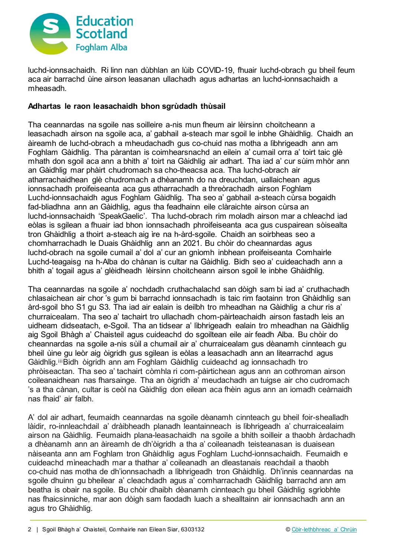

luchd-ionnsachaidh. Ri linn nan dùbhlan an lùib COVID-19, fhuair luchd-obrach gu bheil feum aca air barrachd ùine airson leasanan ullachadh agus adhartas an luchd-ionnsachaidh a mheasadh.

## **Adhartas le raon leasachaidh bhon sgrùdadh thùsail**

Tha ceannardas na sgoile nas soilleire a-nis mun fheum air lèirsinn choitcheann a leasachadh airson na sgoile aca, a' gabhail a-steach mar sgoil le inbhe Ghàidhlig. Chaidh an àireamh de luchd-obrach a mheudachadh gus co-chuid nas motha a lìbhrigeadh ann am Foghlam Gàidhlig. Tha pàrantan is coimhearsnachd an eilein a' cumail orra a' toirt taic glè mhath don sgoil aca ann a bhith a' toirt na Gàidhlig air adhart. Tha iad a' cur sùim mhòr ann an Gàidhlig mar phàirt chudromach sa cho-theacsa aca. Tha luchd-obrach air atharrachaidhean glè chudromach a dhèanamh do na dreuchdan, uallaichean agus ionnsachadh proifeiseanta aca gus atharrachadh a threòrachadh airson Foghlam Luchd-ionnsachaidh agus Foghlam Gàidhlig. Tha seo a' gabhail a-steach cùrsa bogaidh fad-bliadhna ann an Gàidhlig, agus tha feadhainn eile clàraichte airson cùrsa an luchd-ionnsachaidh 'SpeakGaelic'. Tha luchd-obrach rim moladh airson mar a chleachd iad eòlas is sgilean a fhuair iad bhon ionnsachadh phroifeiseanta aca gus cuspairean sòisealta tron Ghàidhlig a thoirt a-steach aig ìre na h-àrd-sgoile. Chaidh an soirbheas seo a chomharrachadh le Duais Ghàidhlig ann an 2021. Bu chòir do cheannardas agus luchd-obrach na sgoile cumail a' dol a' cur an gnìomh inbhean proifeiseanta Comhairle Luchd-teagaisg na h-Alba do chànan is cultar na Gàidhlig. Bidh seo a' cuideachadh ann a bhith a' togail agus a' glèidheadh lèirsinn choitcheann airson sgoil le inbhe Ghàidhlig.

Tha ceannardas na sgoile a' nochdadh cruthachalachd san dòigh sam bi iad a' cruthachadh chlasaichean air chor 's gum bi barrachd ionnsachadh is taic rim faotainn tron Ghàidhlig san àrd-sgoil bho S1 gu S3. Tha iad air ealain is deilbh tro mheadhan na Gàidhlig a chur ris a' churraicealam. Tha seo a' tachairt tro ullachadh chom-pàirteachaidh airson fastadh leis an uidheam didseatach, e-Sgoil. Tha an tidsear a' lìbhrigeadh ealain tro mheadhan na Gàidhlig aig Sgoil Bhàgh a' Chaisteil agus cuideachd do sgoiltean eile air feadh Alba. Bu chòir do cheannardas na sgoile a-nis sùil a chumail air a' churraicealam gus dèanamh cinnteach gu bheil ùine gu leòr aig òigridh gus sgilean is eòlas a leasachadh ann an litearrachd agus Gàidhlig.[iii](#page-2-2)Bidh òigridh ann am Foghlam Gàidhlig cuideachd ag ionnsachadh tro phròiseactan. Tha seo a' tachairt còmhla ri com-pàirtichean agus ann an cothroman airson coileanaidhean nas fharsainge. Tha an òigridh a' meudachadh an tuigse air cho cudromach 's a tha cànan, cultar is ceòl na Gàidhlig don eilean aca fhèin agus ann an iomadh ceàrnaidh nas fhaid' air falbh.

A' dol air adhart, feumaidh ceannardas na sgoile dèanamh cinnteach gu bheil foir-shealladh làidir, ro-innleachdail a' dràibheadh planadh leantainneach is lìbhrigeadh a' churraicealaim airson na Gàidhlig. Feumaidh plana-leasachaidh na sgoile a bhith soilleir a thaobh àrdachadh a dhèanamh ann an àireamh de dh'òigridh a tha a' coileanadh teisteanasan is duaisean nàiseanta ann am Foghlam tron Ghàidhlig agus Foghlam Luchd-ionnsachaidh. Feumaidh e cuideachd mìneachadh mar a thathar a' coileanadh an dleastanais reachdail a thaobh co-chuid nas motha de dh'ionnsachadh a lìbhrigeadh tron Ghàidhlig. Dh'innis ceannardas na sgoile dhuinn gu bheilear a' cleachdadh agus a' comharrachadh Gàidhlig barrachd ann am beatha is obair na sgoile. Bu chòir dhaibh dèanamh cinnteach gu bheil Gàidhlig sgrìobhte nas fhaicsinniche, mar aon dòigh sam faodadh luach a shealltainn air ionnsachadh ann an agus tro Ghàidhlig.